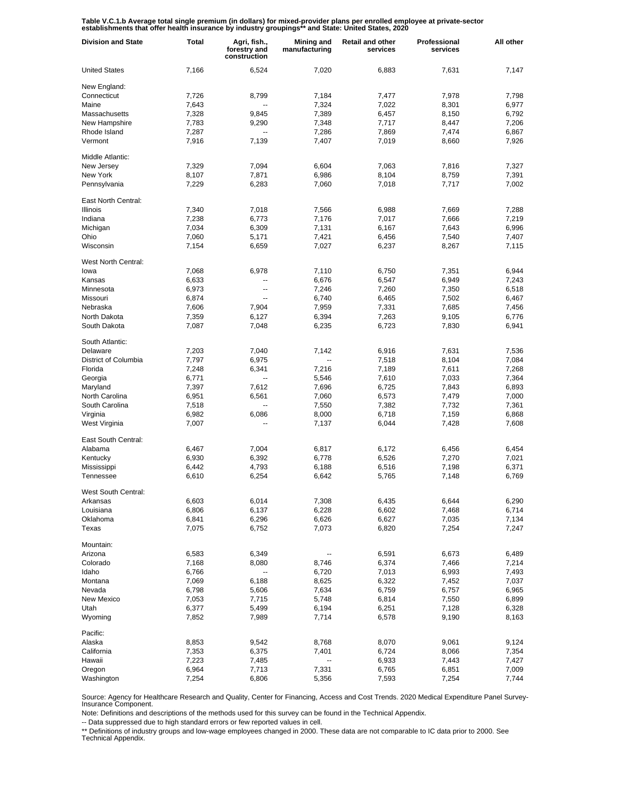Table V.C.1.b Average total single premium (in dollars) for mixed-provider plans per enrolled employee at private-sector<br>establishments that offer health insurance by industry groupings\*\* and State: United States, 2020

| <b>Division and State</b> | Total | Agri, fish.,<br>forestry and<br>construction | Mining and<br>manufacturing | <b>Retail and other</b><br>services | Professional<br>services | All other |
|---------------------------|-------|----------------------------------------------|-----------------------------|-------------------------------------|--------------------------|-----------|
| <b>United States</b>      | 7,166 | 6,524                                        | 7,020                       | 6,883                               | 7,631                    | 7,147     |
| New England:              |       |                                              |                             |                                     |                          |           |
| Connecticut               | 7,726 | 8,799                                        | 7,184                       | 7,477                               | 7,978                    | 7,798     |
| Maine                     | 7,643 | --                                           | 7,324                       | 7,022                               | 8,301                    | 6,977     |
| Massachusetts             | 7,328 | 9,845                                        | 7,389                       | 6,457                               | 8,150                    | 6,792     |
| New Hampshire             | 7,783 | 9,290                                        | 7,348                       | 7,717                               | 8,447                    | 7,206     |
| Rhode Island              | 7,287 | --                                           | 7,286                       | 7,869                               | 7,474                    | 6,867     |
| Vermont                   | 7,916 | 7,139                                        | 7,407                       | 7,019                               | 8,660                    | 7,926     |
| Middle Atlantic:          |       |                                              |                             |                                     |                          |           |
| New Jersey                | 7,329 | 7,094                                        | 6,604                       | 7,063                               | 7,816                    | 7,327     |
| New York                  | 8,107 | 7,871                                        | 6,986                       | 8,104                               | 8,759                    | 7,391     |
| Pennsylvania              | 7,229 | 6,283                                        | 7,060                       | 7,018                               | 7,717                    | 7,002     |
| East North Central:       |       |                                              |                             |                                     |                          |           |
| <b>Illinois</b>           | 7,340 | 7,018                                        | 7,566                       | 6,988                               | 7,669                    | 7,288     |
| Indiana                   | 7,238 | 6,773                                        | 7,176                       | 7,017                               | 7,666                    | 7,219     |
| Michigan                  | 7,034 | 6,309                                        | 7,131                       | 6,167                               | 7,643                    | 6,996     |
| Ohio                      | 7,060 | 5,171                                        | 7,421                       | 6,456                               | 7,540                    | 7,407     |
| Wisconsin                 | 7,154 | 6,659                                        | 7,027                       | 6,237                               | 8,267                    | 7,115     |
| West North Central:       |       |                                              |                             |                                     |                          |           |
| lowa                      | 7,068 | 6.978                                        | 7,110                       | 6,750                               | 7,351                    | 6,944     |
| Kansas                    | 6,633 | --                                           | 6,676                       | 6,547                               | 6,949                    | 7,243     |
| Minnesota                 | 6,973 | --                                           | 7,246                       | 7,260                               | 7,350                    | 6,518     |
| Missouri                  | 6,874 | --                                           | 6,740                       | 6,465                               | 7,502                    | 6,467     |
| Nebraska                  | 7,606 | 7,904                                        | 7,959                       | 7,331                               | 7,685                    | 7,456     |
| North Dakota              | 7,359 | 6,127                                        | 6,394                       | 7,263                               | 9,105                    | 6,776     |
| South Dakota              | 7,087 | 7,048                                        | 6,235                       | 6,723                               | 7,830                    | 6,941     |
| South Atlantic:           |       |                                              |                             |                                     |                          |           |
| Delaware                  | 7,203 | 7,040                                        | 7,142                       | 6,916                               | 7,631                    | 7,536     |
| District of Columbia      | 7,797 | 6,975                                        | --                          | 7,518                               | 8,104                    | 7,084     |
| Florida                   | 7,248 | 6,341                                        | 7,216                       | 7,189                               | 7,611                    | 7,268     |
| Georgia                   | 6,771 |                                              | 5,546                       | 7,610                               | 7,033                    | 7,364     |
| Maryland                  | 7,397 | 7,612                                        | 7,696                       | 6,725                               | 7,843                    | 6,893     |
| North Carolina            | 6,951 | 6,561                                        | 7,060                       | 6,573                               | 7,479                    | 7,000     |
| South Carolina            | 7,518 |                                              | 7,550                       | 7,382                               | 7,732                    | 7,361     |
| Virginia                  | 6,982 | 6,086                                        | 8,000                       | 6,718                               | 7,159                    | 6,868     |
| West Virginia             | 7,007 |                                              | 7,137                       | 6,044                               | 7,428                    | 7,608     |
| East South Central:       |       |                                              |                             |                                     |                          |           |
| Alabama                   | 6,467 | 7,004                                        | 6,817                       | 6,172                               | 6,456                    | 6,454     |
| Kentucky                  | 6,930 | 6,392                                        | 6,778                       | 6,526                               | 7,270                    | 7,021     |
| Mississippi               | 6,442 | 4,793                                        | 6,188                       | 6,516                               | 7,198                    | 6,371     |
| Tennessee                 | 6,610 | 6,254                                        | 6,642                       | 5,765                               | 7,148                    | 6,769     |
| West South Central:       |       |                                              |                             |                                     |                          |           |
| Arkansas                  | 6,603 | 6,014                                        | 7,308                       | 6,435                               | 6,644                    | 6,290     |
| Louisiana                 | 6,806 | 6,137                                        | 6,228                       | 6,602                               | 7,468                    | 6,714     |
| Oklahoma                  | 6,841 | 6,296                                        | 6,626                       | 6,627                               | 7,035                    | 7,134     |
| Texas                     | 7,075 | 6,752                                        | 7,073                       | 6,820                               | 7,254                    | 7,247     |
| Mountain:                 |       |                                              |                             |                                     |                          |           |
| Arizona                   | 6,583 | 6,349                                        |                             | 6,591                               | 6,673                    | 6,489     |
| Colorado                  | 7,168 | 8,080                                        | 8,746                       | 6,374                               | 7,466                    | 7,214     |
| Idaho                     | 6,766 |                                              | 6,720                       | 7,013                               | 6,993                    | 7,493     |
| Montana                   | 7,069 | 6,188                                        | 8,625                       | 6,322                               | 7,452                    | 7,037     |
| Nevada                    | 6,798 | 5,606                                        | 7,634                       | 6,759                               | 6,757                    | 6,965     |
| New Mexico                | 7,053 | 7,715                                        | 5,748                       | 6,814                               | 7,550                    | 6,899     |
| Utah                      | 6,377 | 5,499                                        | 6,194                       | 6,251                               | 7,128                    | 6,328     |
| Wyoming                   | 7,852 | 7,989                                        | 7,714                       | 6,578                               | 9,190                    | 8,163     |
| Pacific:                  |       |                                              |                             |                                     |                          |           |
| Alaska                    | 8,853 | 9,542                                        | 8,768                       | 8,070                               | 9,061                    | 9,124     |
| California                | 7,353 | 6,375                                        | 7,401                       | 6,724                               | 8,066                    | 7,354     |
| Hawaii                    | 7,223 | 7,485                                        | --                          | 6,933                               | 7,443                    | 7,427     |
| Oregon                    | 6,964 | 7,713                                        | 7,331                       | 6,765                               | 6,851                    | 7,009     |
| Washington                | 7,254 | 6,806                                        | 5,356                       | 7,593                               | 7,254                    | 7,744     |

Source: Agency for Healthcare Research and Quality, Center for Financing, Access and Cost Trends. 2020 Medical Expenditure Panel Survey-Insurance Component.

Note: Definitions and descriptions of the methods used for this survey can be found in the Technical Appendix.

-- Data suppressed due to high standard errors or few reported values in cell.

\*\* Definitions of industry groups and low-wage employees changed in 2000. These data are not comparable to IC data prior to 2000. See Technical Appendix.